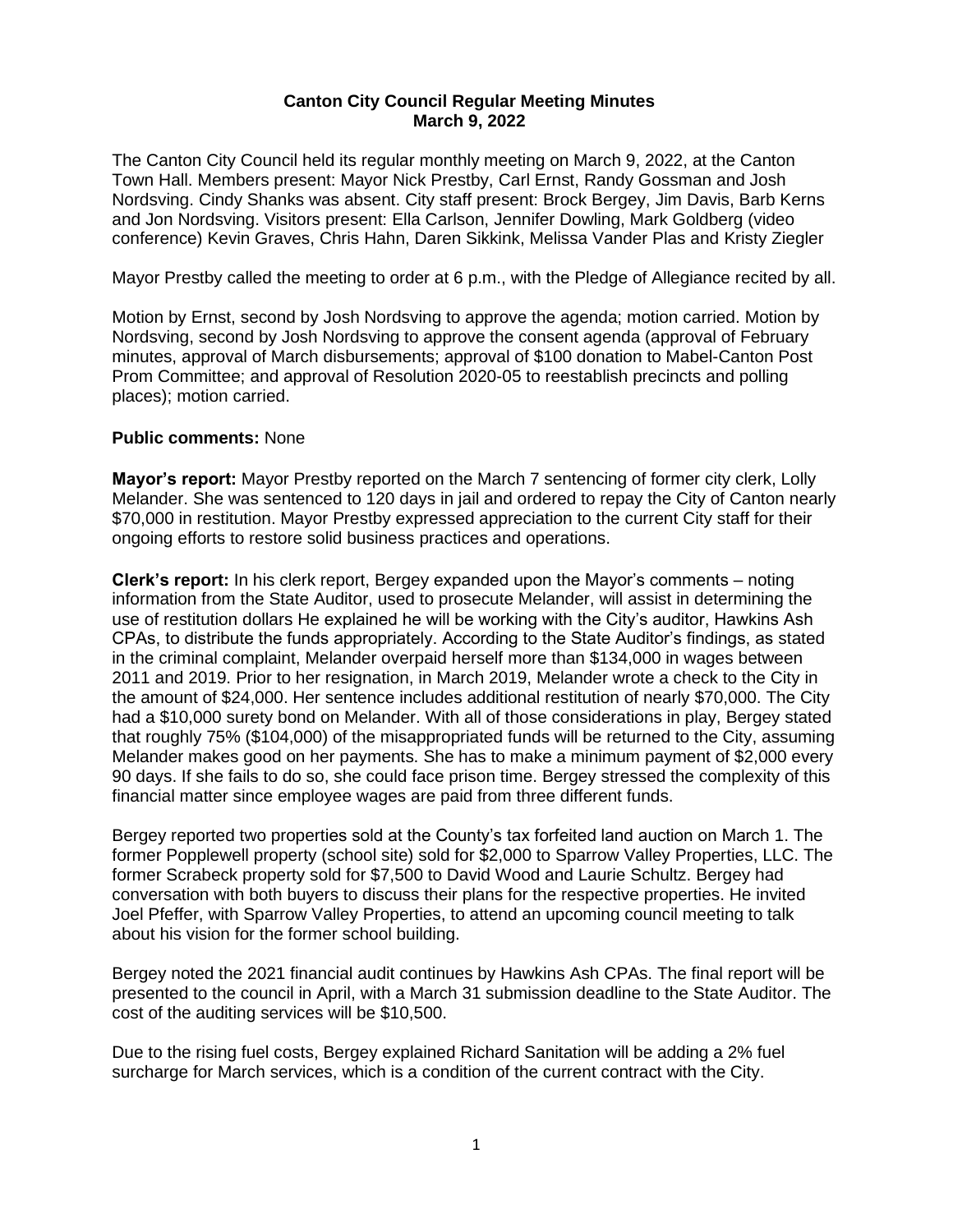# **Canton City Council Regular Meeting Minutes March 9, 2022**

The Canton City Council held its regular monthly meeting on March 9, 2022, at the Canton Town Hall. Members present: Mayor Nick Prestby, Carl Ernst, Randy Gossman and Josh Nordsving. Cindy Shanks was absent. City staff present: Brock Bergey, Jim Davis, Barb Kerns and Jon Nordsving. Visitors present: Ella Carlson, Jennifer Dowling, Mark Goldberg (video conference) Kevin Graves, Chris Hahn, Daren Sikkink, Melissa Vander Plas and Kristy Ziegler

Mayor Prestby called the meeting to order at 6 p.m., with the Pledge of Allegiance recited by all.

Motion by Ernst, second by Josh Nordsving to approve the agenda; motion carried. Motion by Nordsving, second by Josh Nordsving to approve the consent agenda (approval of February minutes, approval of March disbursements; approval of \$100 donation to Mabel-Canton Post Prom Committee; and approval of Resolution 2020-05 to reestablish precincts and polling places); motion carried.

# **Public comments:** None

**Mayor's report:** Mayor Prestby reported on the March 7 sentencing of former city clerk, Lolly Melander. She was sentenced to 120 days in jail and ordered to repay the City of Canton nearly \$70,000 in restitution. Mayor Prestby expressed appreciation to the current City staff for their ongoing efforts to restore solid business practices and operations.

**Clerk's report:** In his clerk report, Bergey expanded upon the Mayor's comments – noting information from the State Auditor, used to prosecute Melander, will assist in determining the use of restitution dollars He explained he will be working with the City's auditor, Hawkins Ash CPAs, to distribute the funds appropriately. According to the State Auditor's findings, as stated in the criminal complaint, Melander overpaid herself more than \$134,000 in wages between 2011 and 2019. Prior to her resignation, in March 2019, Melander wrote a check to the City in the amount of \$24,000. Her sentence includes additional restitution of nearly \$70,000. The City had a \$10,000 surety bond on Melander. With all of those considerations in play, Bergey stated that roughly 75% (\$104,000) of the misappropriated funds will be returned to the City, assuming Melander makes good on her payments. She has to make a minimum payment of \$2,000 every 90 days. If she fails to do so, she could face prison time. Bergey stressed the complexity of this financial matter since employee wages are paid from three different funds.

Bergey reported two properties sold at the County's tax forfeited land auction on March 1. The former Popplewell property (school site) sold for \$2,000 to Sparrow Valley Properties, LLC. The former Scrabeck property sold for \$7,500 to David Wood and Laurie Schultz. Bergey had conversation with both buyers to discuss their plans for the respective properties. He invited Joel Pfeffer, with Sparrow Valley Properties, to attend an upcoming council meeting to talk about his vision for the former school building.

Bergey noted the 2021 financial audit continues by Hawkins Ash CPAs. The final report will be presented to the council in April, with a March 31 submission deadline to the State Auditor. The cost of the auditing services will be \$10,500.

Due to the rising fuel costs, Bergey explained Richard Sanitation will be adding a 2% fuel surcharge for March services, which is a condition of the current contract with the City.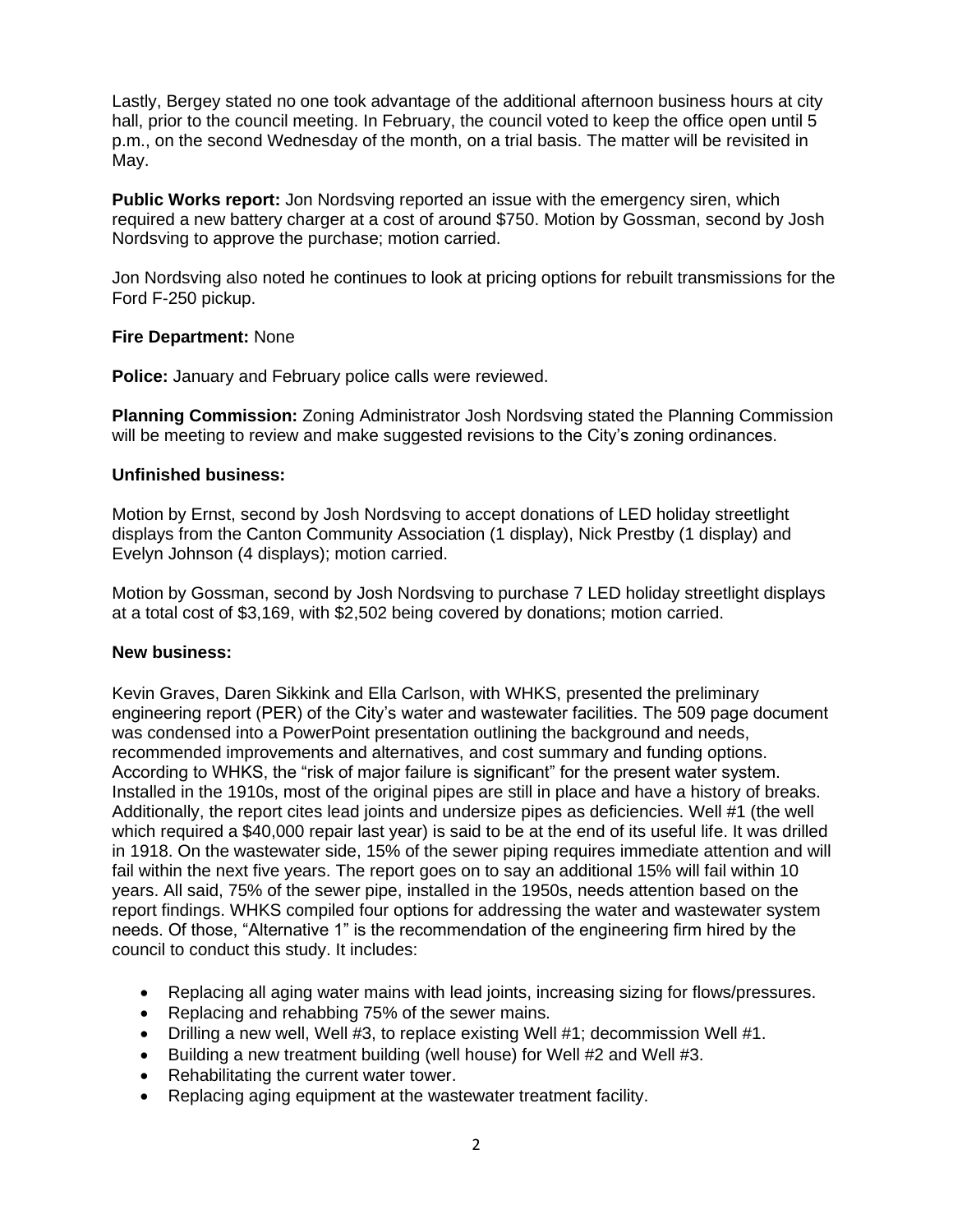Lastly, Bergey stated no one took advantage of the additional afternoon business hours at city hall, prior to the council meeting. In February, the council voted to keep the office open until 5 p.m., on the second Wednesday of the month, on a trial basis. The matter will be revisited in May.

**Public Works report:** Jon Nordsving reported an issue with the emergency siren, which required a new battery charger at a cost of around \$750. Motion by Gossman, second by Josh Nordsving to approve the purchase; motion carried.

Jon Nordsving also noted he continues to look at pricing options for rebuilt transmissions for the Ford F-250 pickup.

# **Fire Department:** None

**Police:** January and February police calls were reviewed.

**Planning Commission:** Zoning Administrator Josh Nordsving stated the Planning Commission will be meeting to review and make suggested revisions to the City's zoning ordinances.

# **Unfinished business:**

Motion by Ernst, second by Josh Nordsving to accept donations of LED holiday streetlight displays from the Canton Community Association (1 display), Nick Prestby (1 display) and Evelyn Johnson (4 displays); motion carried.

Motion by Gossman, second by Josh Nordsving to purchase 7 LED holiday streetlight displays at a total cost of \$3,169, with \$2,502 being covered by donations; motion carried.

## **New business:**

Kevin Graves, Daren Sikkink and Ella Carlson, with WHKS, presented the preliminary engineering report (PER) of the City's water and wastewater facilities. The 509 page document was condensed into a PowerPoint presentation outlining the background and needs, recommended improvements and alternatives, and cost summary and funding options. According to WHKS, the "risk of major failure is significant" for the present water system. Installed in the 1910s, most of the original pipes are still in place and have a history of breaks. Additionally, the report cites lead joints and undersize pipes as deficiencies. Well #1 (the well which required a \$40,000 repair last year) is said to be at the end of its useful life. It was drilled in 1918. On the wastewater side, 15% of the sewer piping requires immediate attention and will fail within the next five years. The report goes on to say an additional 15% will fail within 10 years. All said, 75% of the sewer pipe, installed in the 1950s, needs attention based on the report findings. WHKS compiled four options for addressing the water and wastewater system needs. Of those, "Alternative 1" is the recommendation of the engineering firm hired by the council to conduct this study. It includes:

- Replacing all aging water mains with lead joints, increasing sizing for flows/pressures.
- Replacing and rehabbing 75% of the sewer mains.
- Drilling a new well, Well #3, to replace existing Well #1; decommission Well #1.
- Building a new treatment building (well house) for Well #2 and Well #3.
- Rehabilitating the current water tower.
- Replacing aging equipment at the wastewater treatment facility.